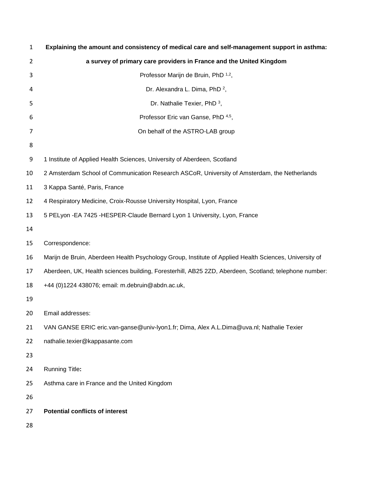| $\mathbf{1}$ | Explaining the amount and consistency of medical care and self-management support in asthma:           |
|--------------|--------------------------------------------------------------------------------------------------------|
| 2            | a survey of primary care providers in France and the United Kingdom                                    |
| 3            | Professor Marijn de Bruin, PhD 1,2,                                                                    |
| 4            | Dr. Alexandra L. Dima, PhD <sup>2</sup> ,                                                              |
| 5            | Dr. Nathalie Texier, PhD <sup>3</sup> ,                                                                |
| 6            | Professor Eric van Ganse, PhD 4,5,                                                                     |
| 7            | On behalf of the ASTRO-LAB group                                                                       |
| 8            |                                                                                                        |
| 9            | 1 Institute of Applied Health Sciences, University of Aberdeen, Scotland                               |
| 10           | 2 Amsterdam School of Communication Research ASCoR, University of Amsterdam, the Netherlands           |
| 11           | 3 Kappa Santé, Paris, France                                                                           |
| 12           | 4 Respiratory Medicine, Croix-Rousse University Hospital, Lyon, France                                 |
| 13           | 5 PELyon - EA 7425 - HESPER-Claude Bernard Lyon 1 University, Lyon, France                             |
| 14           |                                                                                                        |
| 15           | Correspondence:                                                                                        |
| 16           | Marijn de Bruin, Aberdeen Health Psychology Group, Institute of Applied Health Sciences, University of |
| 17           | Aberdeen, UK, Health sciences building, Foresterhill, AB25 2ZD, Aberdeen, Scotland; telephone number:  |
| 18           | +44 (0)1224 438076; email: m.debruin@abdn.ac.uk,                                                       |
| 19           |                                                                                                        |
| 20           | Email addresses:                                                                                       |
| 21           | VAN GANSE ERIC eric.van-ganse@univ-lyon1.fr; Dima, Alex A.L.Dima@uva.nl; Nathalie Texier               |
| 22           | nathalie.texier@kappasante.com                                                                         |
| 23           |                                                                                                        |
| 24           | <b>Running Title:</b>                                                                                  |
| 25           | Asthma care in France and the United Kingdom                                                           |
| 26           |                                                                                                        |
| 27           | <b>Potential conflicts of interest</b>                                                                 |
| 28           |                                                                                                        |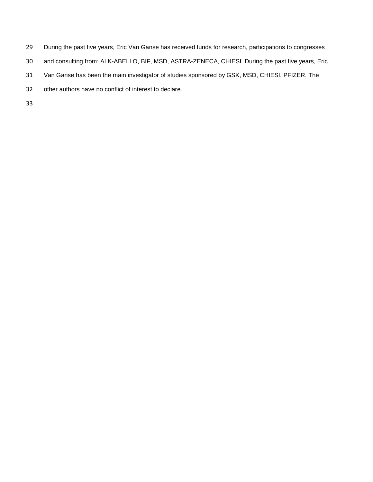- During the past five years, Eric Van Ganse has received funds for research, participations to congresses
- and consulting from: ALK-ABELLO, BIF, MSD, ASTRA-ZENECA, CHIESI. During the past five years, Eric
- Van Ganse has been the main investigator of studies sponsored by GSK, MSD, CHIESI, PFIZER. The
- other authors have no conflict of interest to declare.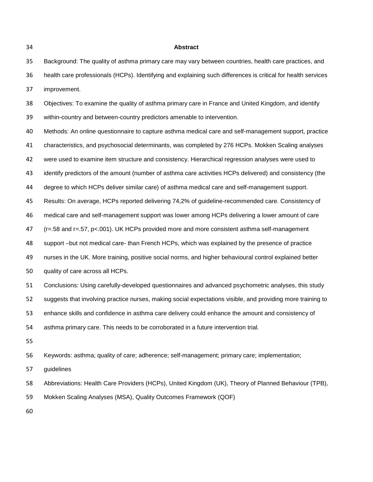#### **Abstract**

 Background: The quality of asthma primary care may vary between countries, health care practices, and health care professionals (HCPs). Identifying and explaining such differences is critical for health services improvement.

Objectives: To examine the quality of asthma primary care in France and United Kingdom, and identify

within-country and between-country predictors amenable to intervention.

 Methods: An online questionnaire to capture asthma medical care and self-management support, practice characteristics, and psychosocial determinants, was completed by 276 HCPs. Mokken Scaling analyses were used to examine item structure and consistency. Hierarchical regression analyses were used to identify predictors of the amount (number of asthma care activities HCPs delivered) and consistency (the degree to which HCPs deliver similar care) of asthma medical care and self-management support. Results: On average, HCPs reported delivering 74,2% of guideline-recommended care. Consistency of medical care and self-management support was lower among HCPs delivering a lower amount of care (r=.58 and r=.57, p<.001). UK HCPs provided more and more consistent asthma self-management support –but not medical care- than French HCPs, which was explained by the presence of practice nurses in the UK. More training, positive social norms, and higher behavioural control explained better quality of care across all HCPs. Conclusions: Using carefully-developed questionnaires and advanced psychometric analyses, this study suggests that involving practice nurses, making social expectations visible, and providing more training to enhance skills and confidence in asthma care delivery could enhance the amount and consistency of asthma primary care. This needs to be corroborated in a future intervention trial. 

Keywords: asthma; quality of care; adherence; self-management; primary care; implementation;

guidelines

Abbreviations: Health Care Providers (HCPs), United Kingdom (UK), Theory of Planned Behaviour (TPB),

Mokken Scaling Analyses (MSA), Quality Outcomes Framework (QOF)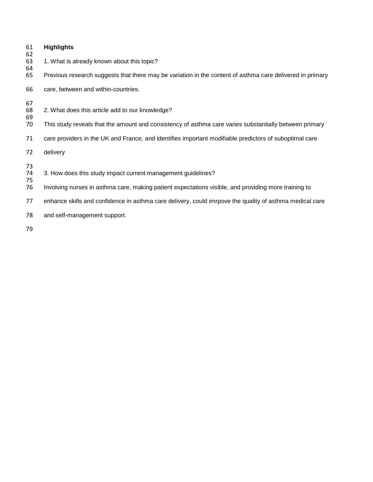| 61<br>62 | <b>Highlights</b>                                                                                         |
|----------|-----------------------------------------------------------------------------------------------------------|
| 63<br>64 | 1. What is already known about this topic?                                                                |
| 65       | Previous research suggests that there may be variation in the content of asthma care delivered in primary |
| 66       | care, between and within-countries.                                                                       |
| 67       |                                                                                                           |
| 68<br>69 | 2. What does this article add to our knowledge?                                                           |
| 70       | This study reveals that the amount and consistency of asthma care varies substantially between primary    |
| 71       | care providers in the UK and France, and identifies important modifiable predictors of suboptimal care    |
| 72       | delivery                                                                                                  |
| 73       |                                                                                                           |
| 74<br>75 | 3. How does this study impact current management guidelines?                                              |
| 76       | Involving nurses in asthma care, making patient expectations visible, and providing more training to      |
| 77       | enhance skills and confidence in asthma care delivery, could imrpove the quality of asthma medical care   |
| 78       | and self-management support.                                                                              |
| 70.      |                                                                                                           |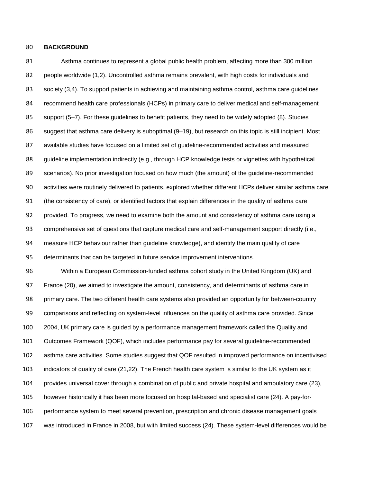## **BACKGROUND**

 Asthma continues to represent a global public health problem, affecting more than 300 million people worldwide (1,2). Uncontrolled asthma remains prevalent, with high costs for individuals and society (3,4). To support patients in achieving and maintaining asthma control, asthma care guidelines recommend health care professionals (HCPs) in primary care to deliver medical and self-management support (5–7). For these guidelines to benefit patients, they need to be widely adopted (8). Studies suggest that asthma care delivery is suboptimal (9–19), but research on this topic is still incipient. Most available studies have focused on a limited set of guideline-recommended activities and measured guideline implementation indirectly (e.g., through HCP knowledge tests or vignettes with hypothetical scenarios). No prior investigation focused on how much (the amount) of the guideline-recommended activities were routinely delivered to patients, explored whether different HCPs deliver similar asthma care (the consistency of care), or identified factors that explain differences in the quality of asthma care provided. To progress, we need to examine both the amount and consistency of asthma care using a comprehensive set of questions that capture medical care and self-management support directly (i.e., measure HCP behaviour rather than guideline knowledge), and identify the main quality of care determinants that can be targeted in future service improvement interventions.

 Within a European Commission-funded asthma cohort study in the United Kingdom (UK) and France (20), we aimed to investigate the amount, consistency, and determinants of asthma care in primary care. The two different health care systems also provided an opportunity for between-country comparisons and reflecting on system-level influences on the quality of asthma care provided. Since 2004, UK primary care is guided by a performance management framework called the Quality and Outcomes Framework (QOF), which includes performance pay for several guideline-recommended asthma care activities. Some studies suggest that QOF resulted in improved performance on incentivised indicators of quality of care (21,22). The French health care system is similar to the UK system as it provides universal cover through a combination of public and private hospital and ambulatory care (23), however historically it has been more focused on hospital-based and specialist care (24). A pay-for- performance system to meet several prevention, prescription and chronic disease management goals was introduced in France in 2008, but with limited success (24). These system-level differences would be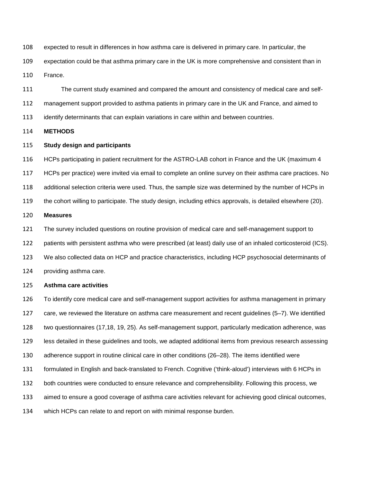expected to result in differences in how asthma care is delivered in primary care. In particular, the

expectation could be that asthma primary care in the UK is more comprehensive and consistent than in

France.

The current study examined and compared the amount and consistency of medical care and self-

management support provided to asthma patients in primary care in the UK and France, and aimed to

identify determinants that can explain variations in care within and between countries.

**METHODS**

### **Study design and participants**

 HCPs participating in patient recruitment for the ASTRO-LAB cohort in France and the UK (maximum 4 HCPs per practice) were invited via email to complete an online survey on their asthma care practices. No additional selection criteria were used. Thus, the sample size was determined by the number of HCPs in the cohort willing to participate. The study design, including ethics approvals, is detailed elsewhere (20).

## **Measures**

The survey included questions on routine provision of medical care and self-management support to

patients with persistent asthma who were prescribed (at least) daily use of an inhaled corticosteroid (ICS).

We also collected data on HCP and practice characteristics, including HCP psychosocial determinants of

providing asthma care.

### **Asthma care activities**

To identify core medical care and self-management support activities for asthma management in primary

care, we reviewed the literature on asthma care measurement and recent guidelines (5–7). We identified

two questionnaires (17,18, 19, 25). As self-management support, particularly medication adherence, was

less detailed in these guidelines and tools, we adapted additional items from previous research assessing

adherence support in routine clinical care in other conditions (26–28). The items identified were

formulated in English and back-translated to French. Cognitive ('think-aloud') interviews with 6 HCPs in

both countries were conducted to ensure relevance and comprehensibility. Following this process, we

aimed to ensure a good coverage of asthma care activities relevant for achieving good clinical outcomes,

which HCPs can relate to and report on with minimal response burden.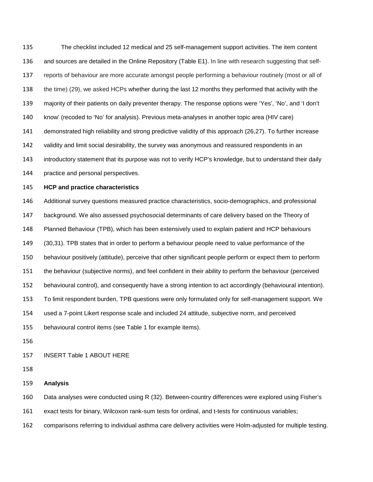The checklist included 12 medical and 25 self-management support activities. The item content and sources are detailed in the Online Repository (Table E1). In line with research suggesting that self- reports of behaviour are more accurate amongst people performing a behaviour routinely (most or all of the time) (29), we asked HCPs whether during the last 12 months they performed that activity with the majority of their patients on daily preventer therapy. The response options were 'Yes', 'No', and 'I don't know' (recoded to 'No' for analysis). Previous meta-analyses in another topic area (HIV care) demonstrated high reliability and strong predictive validity of this approach (26,27). To further increase validity and limit social desirability, the survey was anonymous and reassured respondents in an introductory statement that its purpose was not to verify HCP's knowledge, but to understand their daily practice and personal perspectives.

#### **HCP and practice characteristics**

 Additional survey questions measured practice characteristics, socio-demographics, and professional background. We also assessed psychosocial determinants of care delivery based on the Theory of Planned Behaviour (TPB), which has been extensively used to explain patient and HCP behaviours (30,31). TPB states that in order to perform a behaviour people need to value performance of the behaviour positively (attitude), perceive that other significant people perform or expect them to perform the behaviour (subjective norms), and feel confident in their ability to perform the behaviour (perceived behavioural control), and consequently have a strong intention to act accordingly (behavioural intention). To limit respondent burden, TPB questions were only formulated only for self-management support. We used a 7-point Likert response scale and included 24 attitude, subjective norm, and perceived behavioural control items (see Table 1 for example items).

### INSERT Table 1 ABOUT HERE

#### **Analysis**

Data analyses were conducted using R (32). Between-country differences were explored using Fisher's

exact tests for binary, Wilcoxon rank-sum tests for ordinal, and t-tests for continuous variables;

comparisons referring to individual asthma care delivery activities were Holm-adjusted for multiple testing.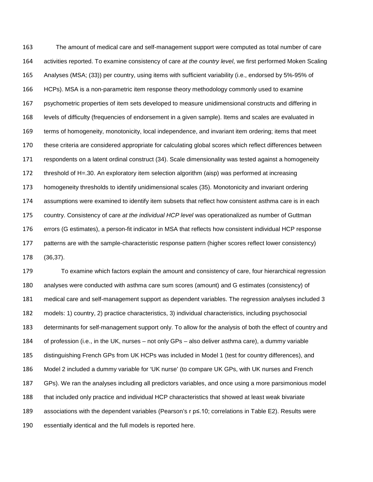The amount of medical care and self-management support were computed as total number of care activities reported. To examine consistency of care *at the country level*, we first performed Moken Scaling Analyses (MSA; (33)) per country, using items with sufficient variability (i.e., endorsed by 5%-95% of HCPs). MSA is a non-parametric item response theory methodology commonly used to examine psychometric properties of item sets developed to measure unidimensional constructs and differing in levels of difficulty (frequencies of endorsement in a given sample). Items and scales are evaluated in terms of homogeneity, monotonicity, local independence, and invariant item ordering; items that meet these criteria are considered appropriate for calculating global scores which reflect differences between respondents on a latent ordinal construct (34). Scale dimensionality was tested against a homogeneity threshold of H=.30. An exploratory item selection algorithm (aisp) was performed at increasing homogeneity thresholds to identify unidimensional scales (35). Monotonicity and invariant ordering assumptions were examined to identify item subsets that reflect how consistent asthma care is in each country. Consistency of care *at the individual HCP level* was operationalized as number of Guttman errors (G estimates), a person-fit indicator in MSA that reflects how consistent individual HCP response patterns are with the sample-characteristic response pattern (higher scores reflect lower consistency) (36,37).

 To examine which factors explain the amount and consistency of care, four hierarchical regression analyses were conducted with asthma care sum scores (amount) and G estimates (consistency) of medical care and self-management support as dependent variables. The regression analyses included 3 models: 1) country, 2) practice characteristics, 3) individual characteristics, including psychosocial determinants for self-management support only. To allow for the analysis of both the effect of country and of profession (i.e., in the UK, nurses – not only GPs – also deliver asthma care), a dummy variable distinguishing French GPs from UK HCPs was included in Model 1 (test for country differences), and Model 2 included a dummy variable for 'UK nurse' (to compare UK GPs, with UK nurses and French GPs). We ran the analyses including all predictors variables, and once using a more parsimonious model that included only practice and individual HCP characteristics that showed at least weak bivariate associations with the dependent variables (Pearson's r p≤.10; correlations in Table E2). Results were essentially identical and the full models is reported here.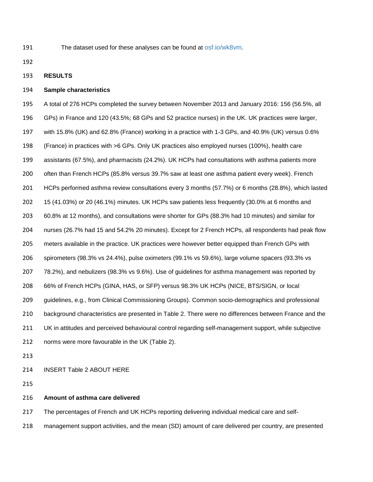The dataset used for these analyses can be found at [osf.io/wk8vm.](https://osf.io/wk8vm/)

### **RESULTS**

## **Sample characteristics**

 A total of 276 HCPs completed the survey between November 2013 and January 2016: 156 (56.5%, all GPs) in France and 120 (43.5%; 68 GPs and 52 practice nurses) in the UK. UK practices were larger, with 15.8% (UK) and 62.8% (France) working in a practice with 1-3 GPs, and 40.9% (UK) versus 0.6% (France) in practices with >6 GPs. Only UK practices also employed nurses (100%), health care assistants (67.5%), and pharmacists (24.2%). UK HCPs had consultations with asthma patients more often than French HCPs (85.8% versus 39.7% saw at least one asthma patient every week). French HCPs performed asthma review consultations every 3 months (57.7%) or 6 months (28.8%), which lasted 15 (41.03%) or 20 (46.1%) minutes. UK HCPs saw patients less frequently (30.0% at 6 months and 60.8% at 12 months), and consultations were shorter for GPs (88.3% had 10 minutes) and similar for nurses (26.7% had 15 and 54.2% 20 minutes). Except for 2 French HCPs, all respondents had peak flow meters available in the practice. UK practices were however better equipped than French GPs with spirometers (98.3% vs 24.4%), pulse oximeters (99.1% vs 59.6%), large volume spacers (93.3% vs 78.2%), and nebulizers (98.3% vs 9.6%). Use of guidelines for asthma management was reported by 66% of French HCPs (GINA, HAS, or SFP) versus 98.3% UK HCPs (NICE, BTS/SIGN, or local guidelines, e.g., from Clinical Commissioning Groups). Common socio-demographics and professional background characteristics are presented in Table 2. There were no differences between France and the UK in attitudes and perceived behavioural control regarding self-management support, while subjective norms were more favourable in the UK (Table 2).

INSERT Table 2 ABOUT HERE

#### **Amount of asthma care delivered**

The percentages of French and UK HCPs reporting delivering individual medical care and self-

management support activities, and the mean (SD) amount of care delivered per country, are presented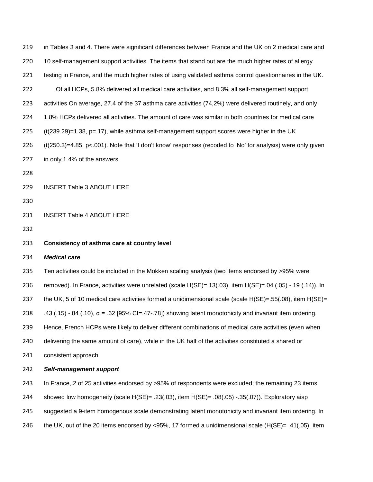| 219 | in Tables 3 and 4. There were significant differences between France and the UK on 2 medical care and            |
|-----|------------------------------------------------------------------------------------------------------------------|
| 220 | 10 self-management support activities. The items that stand out are the much higher rates of allergy             |
| 221 | testing in France, and the much higher rates of using validated asthma control questionnaires in the UK.         |
| 222 | Of all HCPs, 5.8% delivered all medical care activities, and 8.3% all self-management support                    |
| 223 | activities On average, 27.4 of the 37 asthma care activities (74,2%) were delivered routinely, and only          |
| 224 | 1.8% HCPs delivered all activities. The amount of care was similar in both countries for medical care            |
| 225 | $(t(239.29)=1.38, p=.17)$ , while asthma self-management support scores were higher in the UK                    |
| 226 | $(t(250.3)=4.85, p<.001)$ . Note that 'I don't know' responses (recoded to 'No' for analysis) were only given    |
| 227 | in only 1.4% of the answers.                                                                                     |
| 228 |                                                                                                                  |
| 229 | <b>INSERT Table 3 ABOUT HERE</b>                                                                                 |
| 230 |                                                                                                                  |
| 231 | <b>INSERT Table 4 ABOUT HERE</b>                                                                                 |
| 232 |                                                                                                                  |
|     |                                                                                                                  |
| 233 | Consistency of asthma care at country level                                                                      |
| 234 | <b>Medical care</b>                                                                                              |
| 235 | Ten activities could be included in the Mokken scaling analysis (two items endorsed by >95% were                 |
| 236 | removed). In France, activities were unrelated (scale H(SE)=.13(.03), item H(SE)=.04 (.05) -.19 (.14)). In       |
| 237 | the UK, 5 of 10 medical care activities formed a unidimensional scale (scale $H(SE) = .55(.08)$ , item $H(SE) =$ |
| 238 | .43 (.15) -.84 (.10), $\alpha$ = .62 [95% CI=.47-.78]) showing latent monotonicity and invariant item ordering.  |
| 239 | Hence, French HCPs were likely to deliver different combinations of medical care activities (even when           |
| 240 | delivering the same amount of care), while in the UK half of the activities constituted a shared or              |
| 241 | consistent approach.                                                                                             |
| 242 | Self-management support                                                                                          |
| 243 | In France, 2 of 25 activities endorsed by >95% of respondents were excluded; the remaining 23 items              |
| 244 | showed low homogeneity (scale H(SE)= .23(.03), item H(SE)= .08(.05) -.35(.07)). Exploratory aisp                 |
| 245 | suggested a 9-item homogenous scale demonstrating latent monotonicity and invariant item ordering. In            |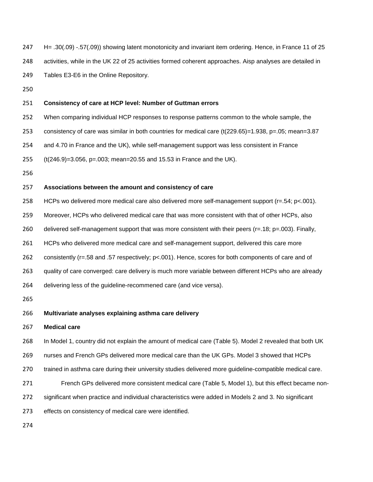- H= .30(.09) -.57(.09)) showing latent monotonicity and invariant item ordering. Hence, in France 11 of 25
- activities, while in the UK 22 of 25 activities formed coherent approaches. Aisp analyses are detailed in

Tables E3-E6 in the Online Repository.

### **Consistency of care at HCP level: Number of Guttman errors**

- When comparing individual HCP responses to response patterns common to the whole sample, the
- consistency of care was similar in both countries for medical care (t(229.65)=1.938, p=.05; mean=3.87
- and 4.70 in France and the UK), while self-management support was less consistent in France
- (t(246.9)=3.056, p=.003; mean=20.55 and 15.53 in France and the UK).
- 

## **Associations between the amount and consistency of care**

HCPs wo delivered more medical care also delivered more self-management support (r=.54; p<.001).

- Moreover, HCPs who delivered medical care that was more consistent with that of other HCPs, also
- 260 delivered self-management support that was more consistent with their peers ( $r=0.18$ ;  $p=.003$ ). Finally,
- HCPs who delivered more medical care and self-management support, delivered this care more
- consistently (r=.58 and .57 respectively; p<.001). Hence, scores for both components of care and of
- quality of care converged: care delivery is much more variable between different HCPs who are already
- delivering less of the guideline-recommened care (and vice versa).

## **Multivariate analyses explaining asthma care delivery**

### **Medical care**

In Model 1, country did not explain the amount of medical care (Table 5). Model 2 revealed that both UK

nurses and French GPs delivered more medical care than the UK GPs. Model 3 showed that HCPs

- 270 trained in asthma care during their university studies delivered more guideline-compatible medical care.
- French GPs delivered more consistent medical care (Table 5, Model 1), but this effect became non-
- significant when practice and individual characteristics were added in Models 2 and 3. No significant
- effects on consistency of medical care were identified.
-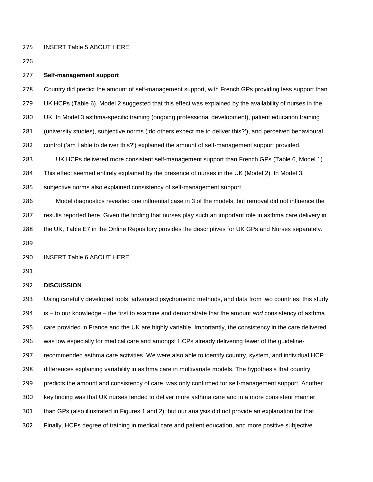INSERT Table 5 ABOUT HERE

#### **Self-management support**

- 278 Country did predict the amount of self-management support, with French GPs providing less support than
- UK HCPs (Table 6). Model 2 suggested that this effect was explained by the availability of nurses in the
- UK. In Model 3 asthma-specific training (ongoing professional development), patient education training
- (university studies), subjective norms ('do others expect me to deliver this?'), and perceived behavioural
- control ('am I able to deliver this?') explained the amount of self-management support provided.

UK HCPs delivered more consistent self-management support than French GPs (Table 6, Model 1).

- This effect seemed entirely explained by the presence of nurses in the UK (Model 2). In Model 3,
- subjective norms also explained consistency of self-management support.

Model diagnostics revealed one influential case in 3 of the models, but removal did not influence the

results reported here. Given the finding that nurses play such an important role in asthma care delivery in

- the UK, Table E7 in the Online Repository provides the descriptives for UK GPs and Nurses separately.
- 

### INSERT Table 6 ABOUT HERE

# **DISCUSSION**

 Using carefully developed tools, advanced psychometric methods, and data from two countries, this study is – to our knowledge – the first to examine and demonstrate that the amount *and* consistency of asthma care provided in France and the UK are highly variable. Importantly, the consistency in the care delivered was low especially for medical care and amongst HCPs already delivering fewer of the guideline- recommended asthma care activities. We were also able to identify country, system, and individual HCP differences explaining variability in asthma care in multivariate models. The hypothesis that country predicts the amount and consistency of care, was only confirmed for self-management support. Another key finding was that UK nurses tended to deliver more asthma care and in a more consistent manner, than GPs (also illustrated in Figures 1 and 2); but our analysis did not provide an explanation for that. Finally, HCPs degree of training in medical care and patient education, and more positive subjective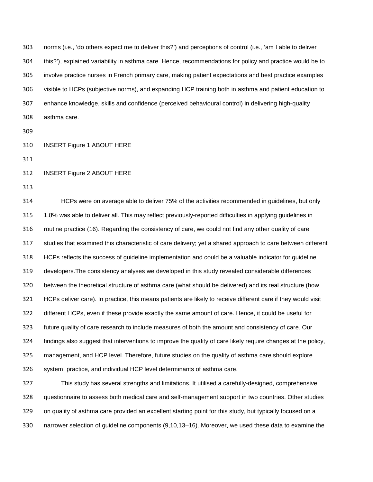norms (i.e., 'do others expect me to deliver this?') and perceptions of control (i.e., 'am I able to deliver this?'), explained variability in asthma care. Hence, recommendations for policy and practice would be to involve practice nurses in French primary care, making patient expectations and best practice examples visible to HCPs (subjective norms), and expanding HCP training both in asthma and patient education to enhance knowledge, skills and confidence (perceived behavioural control) in delivering high-quality asthma care.

- 
- INSERT Figure 1 ABOUT HERE
- 

INSERT Figure 2 ABOUT HERE

 HCPs were on average able to deliver 75% of the activities recommended in guidelines, but only 1.8% was able to deliver all. This may reflect previously-reported difficulties in applying guidelines in routine practice (16). Regarding the consistency of care, we could not find any other quality of care studies that examined this characteristic of care delivery; yet a shared approach to care between different HCPs reflects the success of guideline implementation and could be a valuable indicator for guideline developers.The consistency analyses we developed in this study revealed considerable differences between the theoretical structure of asthma care (what should be delivered) and its real structure (how HCPs deliver care). In practice, this means patients are likely to receive different care if they would visit different HCPs, even if these provide exactly the same amount of care. Hence, it could be useful for future quality of care research to include measures of both the amount and consistency of care. Our findings also suggest that interventions to improve the quality of care likely require changes at the policy, management, and HCP level. Therefore, future studies on the quality of asthma care should explore system, practice, and individual HCP level determinants of asthma care.

 This study has several strengths and limitations. It utilised a carefully-designed, comprehensive questionnaire to assess both medical care and self-management support in two countries. Other studies on quality of asthma care provided an excellent starting point for this study, but typically focused on a narrower selection of guideline components (9,10,13–16). Moreover, we used these data to examine the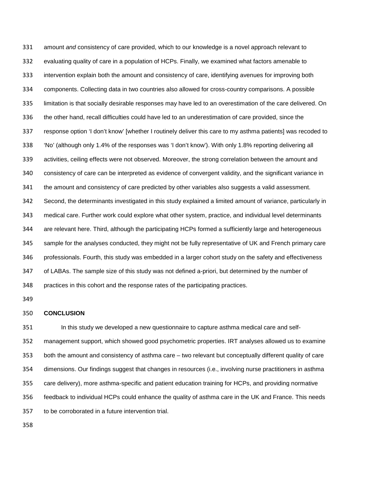amount *and* consistency of care provided, which to our knowledge is a novel approach relevant to evaluating quality of care in a population of HCPs. Finally, we examined what factors amenable to intervention explain both the amount and consistency of care, identifying avenues for improving both components. Collecting data in two countries also allowed for cross-country comparisons. A possible limitation is that socially desirable responses may have led to an overestimation of the care delivered. On the other hand, recall difficulties could have led to an underestimation of care provided, since the response option 'I don't know' [whether I routinely deliver this care to my asthma patients] was recoded to 'No' (although only 1.4% of the responses was 'I don't know'). With only 1.8% reporting delivering all activities, ceiling effects were not observed. Moreover, the strong correlation between the amount and consistency of care can be interpreted as evidence of convergent validity, and the significant variance in the amount and consistency of care predicted by other variables also suggests a valid assessment. Second, the determinants investigated in this study explained a limited amount of variance, particularly in medical care. Further work could explore what other system, practice, and individual level determinants are relevant here. Third, although the participating HCPs formed a sufficiently large and heterogeneous sample for the analyses conducted, they might not be fully representative of UK and French primary care professionals. Fourth, this study was embedded in a larger cohort study on the safety and effectiveness of LABAs. The sample size of this study was not defined a-priori, but determined by the number of practices in this cohort and the response rates of the participating practices.

#### **CONCLUSION**

 In this study we developed a new questionnaire to capture asthma medical care and self- management support, which showed good psychometric properties. IRT analyses allowed us to examine both the amount and consistency of asthma care – two relevant but conceptually different quality of care dimensions. Our findings suggest that changes in resources (i.e., involving nurse practitioners in asthma care delivery), more asthma-specific and patient education training for HCPs, and providing normative feedback to individual HCPs could enhance the quality of asthma care in the UK and France. This needs to be corroborated in a future intervention trial.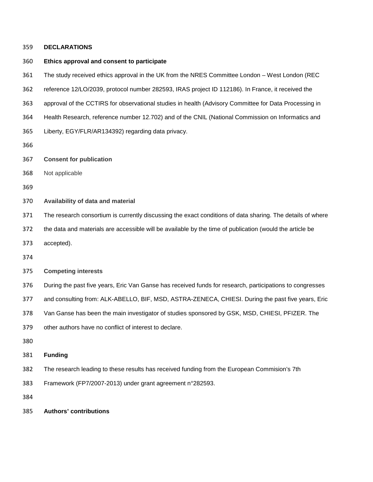## **DECLARATIONS**

## **Ethics approval and consent to participate**

- The study received ethics approval in the UK from the NRES Committee London West London (REC
- reference 12/LO/2039, protocol number 282593, IRAS project ID 112186). In France, it received the
- approval of the CCTIRS for observational studies in health (Advisory Committee for Data Processing in
- Health Research, reference number 12.702) and of the CNIL (National Commission on Informatics and
- Liberty, EGY/FLR/AR134392) regarding data privacy.
- 
- **Consent for publication**
- Not applicable
- 
- **Availability of data and material**
- The research consortium is currently discussing the exact conditions of data sharing. The details of where
- the data and materials are accessible will be available by the time of publication (would the article be
- accepted).
- 

### **Competing interests**

During the past five years, Eric Van Ganse has received funds for research, participations to congresses

and consulting from: ALK-ABELLO, BIF, MSD, ASTRA-ZENECA, CHIESI. During the past five years, Eric

Van Ganse has been the main investigator of studies sponsored by GSK, MSD, CHIESI, PFIZER. The

other authors have no conflict of interest to declare.

- 
- **Funding**
- The research leading to these results has received funding from the European Commision's 7th
- Framework (FP7/2007-2013) under grant agreement n°282593.
- 
- **Authors' contributions**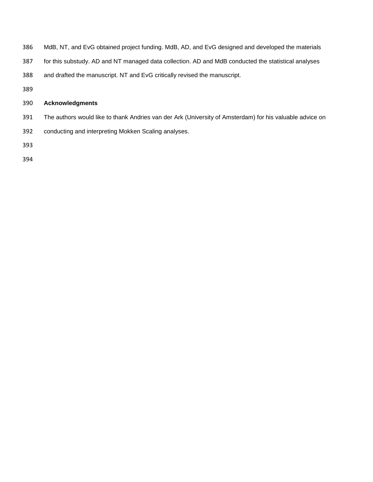- MdB, NT, and EvG obtained project funding. MdB, AD, and EvG designed and developed the materials
- for this substudy. AD and NT managed data collection. AD and MdB conducted the statistical analyses
- and drafted the manuscript. NT and EvG critically revised the manuscript.
- 

# **Acknowledgments**

- The authors would like to thank Andries van der Ark (University of Amsterdam) for his valuable advice on
- conducting and interpreting Mokken Scaling analyses.
- 
-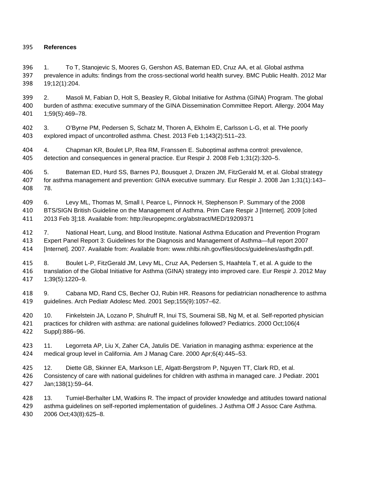# **References**

 1. To T, Stanojevic S, Moores G, Gershon AS, Bateman ED, Cruz AA, et al. Global asthma prevalence in adults: findings from the cross-sectional world health survey. BMC Public Health. 2012 Mar 19;12(1):204.

 2. Masoli M, Fabian D, Holt S, Beasley R, Global Initiative for Asthma (GINA) Program. The global burden of asthma: executive summary of the GINA Dissemination Committee Report. Allergy. 2004 May 1;59(5):469–78.

 3. O'Byrne PM, Pedersen S, Schatz M, Thoren A, Ekholm E, Carlsson L-G, et al. THe poorly explored impact of uncontrolled asthma. Chest. 2013 Feb 1;143(2):511–23.

 4. Chapman KR, Boulet LP, Rea RM, Franssen E. Suboptimal asthma control: prevalence, detection and consequences in general practice. Eur Respir J. 2008 Feb 1;31(2):320–5.

 5. Bateman ED, Hurd SS, Barnes PJ, Bousquet J, Drazen JM, FitzGerald M, et al. Global strategy for asthma management and prevention: GINA executive summary. Eur Respir J. 2008 Jan 1;31(1):143– 78.

 6. Levy ML, Thomas M, Small I, Pearce L, Pinnock H, Stephenson P. Summary of the 2008 BTS/SIGN British Guideline on the Management of Asthma. Prim Care Respir J [Internet]. 2009 [cited 2013 Feb 3];18. Available from: http://europepmc.org/abstract/MED/19209371

 7. National Heart, Lung, and Blood Institute. National Asthma Education and Prevention Program Expert Panel Report 3: Guidelines for the Diagnosis and Management of Asthma—full report 2007 [Internet]. 2007. Available from: Available from: www.nhlbi.nih.gov/files/docs/guidelines/asthgdln.pdf.

 8. Boulet L-P, FitzGerald JM, Levy ML, Cruz AA, Pedersen S, Haahtela T, et al. A guide to the translation of the Global Initiative for Asthma (GINA) strategy into improved care. Eur Respir J. 2012 May 1;39(5):1220–9.

 9. Cabana MD, Rand CS, Becher OJ, Rubin HR. Reasons for pediatrician nonadherence to asthma guidelines. Arch Pediatr Adolesc Med. 2001 Sep;155(9):1057–62.

 10. Finkelstein JA, Lozano P, Shulruff R, Inui TS, Soumerai SB, Ng M, et al. Self-reported physician practices for children with asthma: are national guidelines followed? Pediatrics. 2000 Oct;106(4 Suppl):886–96.

 11. Legorreta AP, Liu X, Zaher CA, Jatulis DE. Variation in managing asthma: experience at the medical group level in California. Am J Manag Care. 2000 Apr;6(4):445–53.

 12. Diette GB, Skinner EA, Markson LE, Algatt-Bergstrom P, Nguyen TT, Clark RD, et al. Consistency of care with national guidelines for children with asthma in managed care. J Pediatr. 2001 Jan;138(1):59–64.

 13. Tumiel-Berhalter LM, Watkins R. The impact of provider knowledge and attitudes toward national asthma guidelines on self-reported implementation of guidelines. J Asthma Off J Assoc Care Asthma. 2006 Oct;43(8):625–8.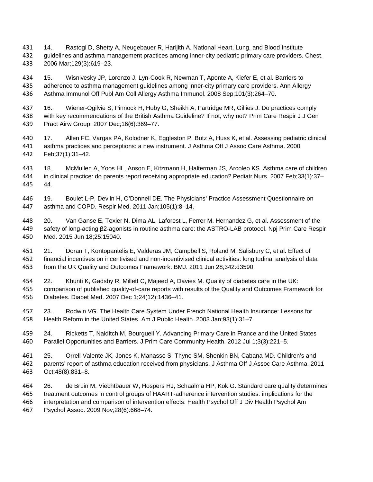- 14. Rastogi D, Shetty A, Neugebauer R, Harijith A. National Heart, Lung, and Blood Institute guidelines and asthma management practices among inner-city pediatric primary care providers. Chest. 2006 Mar;129(3):619–23.
- 15. Wisnivesky JP, Lorenzo J, Lyn-Cook R, Newman T, Aponte A, Kiefer E, et al. Barriers to adherence to asthma management guidelines among inner-city primary care providers. Ann Allergy Asthma Immunol Off Publ Am Coll Allergy Asthma Immunol. 2008 Sep;101(3):264–70.
- 16. Wiener-Ogilvie S, Pinnock H, Huby G, Sheikh A, Partridge MR, Gillies J. Do practices comply with key recommendations of the British Asthma Guideline? If not, why not? Prim Care Respir J J Gen Pract Airw Group. 2007 Dec;16(6):369–77.
- 17. Allen FC, Vargas PA, Kolodner K, Eggleston P, Butz A, Huss K, et al. Assessing pediatric clinical asthma practices and perceptions: a new instrument. J Asthma Off J Assoc Care Asthma. 2000 Feb;37(1):31–42.
- 18. McMullen A, Yoos HL, Anson E, Kitzmann H, Halterman JS, Arcoleo KS. Asthma care of children in clinical practice: do parents report receiving appropriate education? Pediatr Nurs. 2007 Feb;33(1):37– 44.
- 19. Boulet L-P, Devlin H, O'Donnell DE. The Physicians' Practice Assessment Questionnaire on asthma and COPD. Respir Med. 2011 Jan;105(1):8–14.
- 20. Van Ganse E, Texier N, Dima AL, Laforest L, Ferrer M, Hernandez G, et al. Assessment of the safety of long-acting β2-agonists in routine asthma care: the ASTRO-LAB protocol. Npj Prim Care Respir Med. 2015 Jun 18;25:15040.
- 21. Doran T, Kontopantelis E, Valderas JM, Campbell S, Roland M, Salisbury C, et al. Effect of financial incentives on incentivised and non-incentivised clinical activities: longitudinal analysis of data from the UK Quality and Outcomes Framework. BMJ. 2011 Jun 28;342:d3590.
- 22. Khunti K, Gadsby R, Millett C, Majeed A, Davies M. Quality of diabetes care in the UK: comparison of published quality-of-care reports with results of the Quality and Outcomes Framework for Diabetes. Diabet Med. 2007 Dec 1;24(12):1436–41.
- 23. Rodwin VG. The Health Care System Under French National Health Insurance: Lessons for Health Reform in the United States. Am J Public Health. 2003 Jan;93(1):31–7.
- 24. Ricketts T, Naiditch M, Bourgueil Y. Advancing Primary Care in France and the United States Parallel Opportunities and Barriers. J Prim Care Community Health. 2012 Jul 1;3(3):221–5.
- 25. Orrell-Valente JK, Jones K, Manasse S, Thyne SM, Shenkin BN, Cabana MD. Children's and parents' report of asthma education received from physicians. J Asthma Off J Assoc Care Asthma. 2011 Oct;48(8):831–8.
- 26. de Bruin M, Viechtbauer W, Hospers HJ, Schaalma HP, Kok G. Standard care quality determines treatment outcomes in control groups of HAART-adherence intervention studies: implications for the interpretation and comparison of intervention effects. Health Psychol Off J Div Health Psychol Am Psychol Assoc. 2009 Nov;28(6):668–74.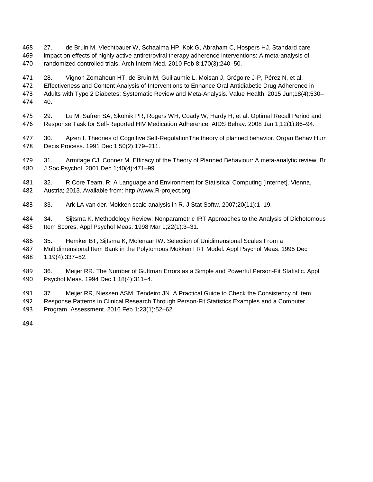- 27. de Bruin M, Viechtbauer W, Schaalma HP, Kok G, Abraham C, Hospers HJ. Standard care impact on effects of highly active antiretroviral therapy adherence interventions: A meta-analysis of randomized controlled trials. Arch Intern Med. 2010 Feb 8;170(3):240–50.
- 28. Vignon Zomahoun HT, de Bruin M, Guillaumie L, Moisan J, Grégoire J-P, Pérez N, et al. Effectiveness and Content Analysis of Interventions to Enhance Oral Antidiabetic Drug Adherence in Adults with Type 2 Diabetes: Systematic Review and Meta-Analysis. Value Health. 2015 Jun;18(4):530– 40.
- 29. Lu M, Safren SA, Skolnik PR, Rogers WH, Coady W, Hardy H, et al. Optimal Recall Period and Response Task for Self-Reported HIV Medication Adherence. AIDS Behav. 2008 Jan 1;12(1):86–94.
- 30. Ajzen I. Theories of Cognitive Self-RegulationThe theory of planned behavior. Organ Behav Hum Decis Process. 1991 Dec 1;50(2):179–211.
- 31. Armitage CJ, Conner M. Efficacy of the Theory of Planned Behaviour: A meta-analytic review. Br J Soc Psychol. 2001 Dec 1;40(4):471–99.
- 32. R Core Team. R: A Language and Environment for Statistical Computing [Internet]. Vienna, Austria; 2013. Available from: http://www.R-project.org
- 33. Ark LA van der. Mokken scale analysis in R. J Stat Softw. 2007;20(11):1–19.
- 34. Sijtsma K. Methodology Review: Nonparametric IRT Approaches to the Analysis of Dichotomous Item Scores. Appl Psychol Meas. 1998 Mar 1;22(1):3–31.
- 35. Hemker BT, Sijtsma K, Molenaar IW. Selection of Unidimensional Scales From a Multidimensional Item Bank in the Polytomous Mokken I RT Model. Appl Psychol Meas. 1995 Dec 1;19(4):337–52.
- 36. Meijer RR. The Number of Guttman Errors as a Simple and Powerful Person-Fit Statistic. Appl Psychol Meas. 1994 Dec 1;18(4):311–4.
- 37. Meijer RR, Niessen ASM, Tendeiro JN. A Practical Guide to Check the Consistency of Item Response Patterns in Clinical Research Through Person-Fit Statistics Examples and a Computer Program. Assessment. 2016 Feb 1;23(1):52–62.
-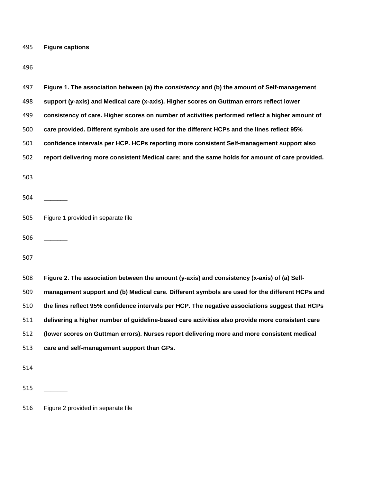**Figure captions**

| 497 | Figure 1. The association between (a) the consistency and (b) the amount of Self-management     |
|-----|-------------------------------------------------------------------------------------------------|
| 498 | support (y-axis) and Medical care (x-axis). Higher scores on Guttman errors reflect lower       |
| 499 | consistency of care. Higher scores on number of activities performed reflect a higher amount of |
| 500 | care provided. Different symbols are used for the different HCPs and the lines reflect 95%      |
| 501 | confidence intervals per HCP. HCPs reporting more consistent Self-management support also       |
| 502 | report delivering more consistent Medical care; and the same holds for amount of care provided. |
| 503 |                                                                                                 |
| 504 |                                                                                                 |
| 505 | Figure 1 provided in separate file                                                              |
| 506 |                                                                                                 |
| 507 |                                                                                                 |
| 508 | Figure 2. The association between the amount (y-axis) and consistency (x-axis) of (a) Self-     |
| 509 | management support and (b) Medical care. Different symbols are used for the different HCPs and  |
| 510 | the lines reflect 95% confidence intervals per HCP. The negative associations suggest that HCPs |
| 511 | delivering a higher number of guideline-based care activities also provide more consistent care |
| 512 | (lower scores on Guttman errors). Nurses report delivering more and more consistent medical     |
| 513 | care and self-management support than GPs.                                                      |
| 514 |                                                                                                 |
| 515 |                                                                                                 |
| 516 | Figure 2 provided in separate file                                                              |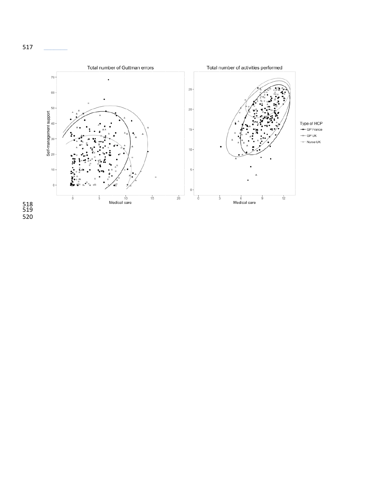

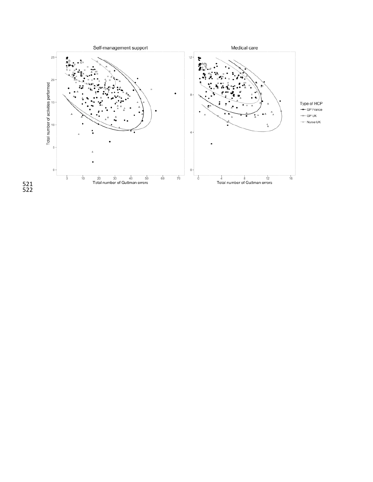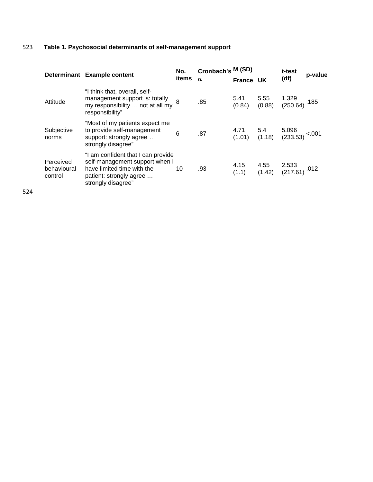# 523 **Table 1. Psychosocial determinants of self-management support**

|                                     |                                                                                                                                                     | No.   | Cronbach's M (SD) |                  |                | t-test                                  | p-value |
|-------------------------------------|-----------------------------------------------------------------------------------------------------------------------------------------------------|-------|-------------------|------------------|----------------|-----------------------------------------|---------|
|                                     | Determinant Example content                                                                                                                         | items | $\alpha$          | <b>France UK</b> |                | (df)                                    |         |
| Attitude                            | "I think that, overall, self-<br>management support is: totally<br>my responsibility  not at all my<br>responsibility"                              |       | .85               | 5.41<br>(0.84)   | 5.55<br>(0.88) | 1.329<br>$(250.64)$ . 185               |         |
| Subjective<br>norms                 | "Most of my patients expect me<br>to provide self-management<br>support: strongly agree<br>strongly disagree"                                       | 6     | .87               | 4.71<br>(1.01)   | 5.4<br>(1.18)  | 5.096<br>$(233.53)$ <sup>&lt;.001</sup> |         |
| Perceived<br>behavioural<br>control | "I am confident that I can provide<br>self-management support when I<br>have limited time with the<br>patient: strongly agree<br>strongly disagree" | 10    | .93               | 4.15<br>(1.1)    | 4.55<br>(1.42) | 2.533<br>$(217.61)$ . <sup>012</sup>    |         |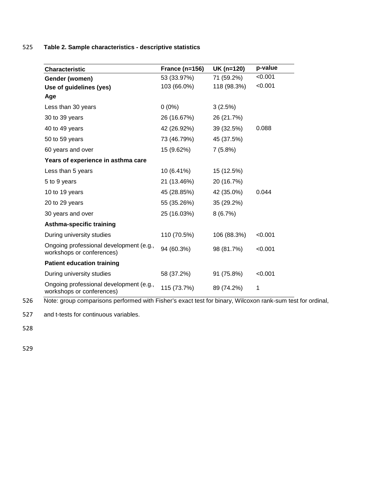525 **Table 2. Sample characteristics - descriptive statistics**

| <b>Characteristic</b>                                                | France $(n=156)$ | UK (n=120)  | p-value |
|----------------------------------------------------------------------|------------------|-------------|---------|
| Gender (women)                                                       | 53 (33.97%)      | 71 (59.2%)  | < 0.001 |
| Use of guidelines (yes)                                              | 103 (66.0%)      | 118 (98.3%) | < 0.001 |
| Age                                                                  |                  |             |         |
| Less than 30 years                                                   | $0(0\%)$         | 3(2.5%)     |         |
| 30 to 39 years                                                       | 26 (16.67%)      | 26 (21.7%)  |         |
| 40 to 49 years                                                       | 42 (26.92%)      | 39 (32.5%)  | 0.088   |
| 50 to 59 years                                                       | 73 (46.79%)      | 45 (37.5%)  |         |
| 60 years and over                                                    | 15 (9.62%)       | 7(5.8%)     |         |
| Years of experience in asthma care                                   |                  |             |         |
| Less than 5 years                                                    | 10 (6.41%)       | 15 (12.5%)  |         |
| 5 to 9 years                                                         | 21 (13.46%)      | 20 (16.7%)  |         |
| 10 to 19 years                                                       | 45 (28.85%)      | 42 (35.0%)  | 0.044   |
| 20 to 29 years                                                       | 55 (35.26%)      | 35 (29.2%)  |         |
| 30 years and over                                                    | 25 (16.03%)      | 8(6.7%)     |         |
| <b>Asthma-specific training</b>                                      |                  |             |         |
| During university studies                                            | 110 (70.5%)      | 106 (88.3%) | < 0.001 |
| Ongoing professional development (e.g.,<br>workshops or conferences) | 94 (60.3%)       | 98 (81.7%)  | < 0.001 |
| <b>Patient education training</b>                                    |                  |             |         |
| During university studies                                            | 58 (37.2%)       | 91 (75.8%)  | < 0.001 |
| Ongoing professional development (e.g.,<br>workshops or conferences) | 115 (73.7%)      | 89 (74.2%)  | 1       |

526 Note: group comparisons performed with Fisher's exact test for binary, Wilcoxon rank-sum test for ordinal,

527 and t-tests for continuous variables.

528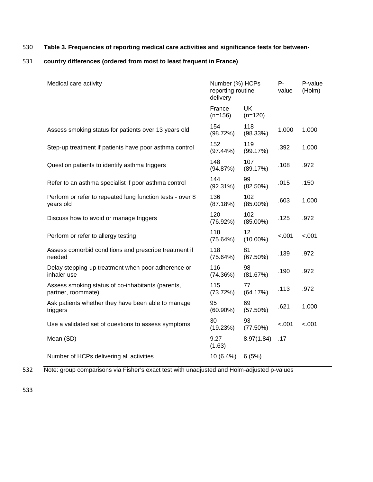# 530 **Table 3. Frequencies of reporting medical care activities and significance tests for between-**

# 531 **country differences (ordered from most to least frequent in France)**

| Medical care activity                                                   | Number (%) HCPs<br>reporting routine<br>delivery |                        | Р-<br>value | P-value<br>(Holm) |
|-------------------------------------------------------------------------|--------------------------------------------------|------------------------|-------------|-------------------|
|                                                                         | France<br>$(n=156)$                              | <b>UK</b><br>$(n=120)$ |             |                   |
| Assess smoking status for patients over 13 years old                    | 154<br>(98.72%)                                  | 118<br>(98.33%)        | 1.000       | 1.000             |
| Step-up treatment if patients have poor asthma control                  | 152<br>(97.44%)                                  | 119<br>(99.17%)        | .392        | 1.000             |
| Question patients to identify asthma triggers                           | 148<br>(94.87%)                                  | 107<br>(89.17%)        | .108        | .972              |
| Refer to an asthma specialist if poor asthma control                    | 144<br>$(92.31\%)$                               | 99<br>$(82.50\%)$      | .015        | .150              |
| Perform or refer to repeated lung function tests - over 8<br>years old  | 136<br>(87.18%)                                  | 102<br>$(85.00\%)$     | .603        | 1.000             |
| Discuss how to avoid or manage triggers                                 | 120<br>(76.92%)                                  | 102<br>$(85.00\%)$     | .125        | .972              |
| Perform or refer to allergy testing                                     | 118<br>(75.64%)                                  | 12<br>$(10.00\%)$      | $-.001$     | < .001            |
| Assess comorbid conditions and prescribe treatment if<br>needed         | 118<br>(75.64%)                                  | 81<br>(67.50%)         | .139        | .972              |
| Delay stepping-up treatment when poor adherence or<br>inhaler use       | 116<br>(74.36%)                                  | 98<br>(81.67%)         | .190        | .972              |
| Assess smoking status of co-inhabitants (parents,<br>partner, roommate) | 115<br>(73.72%)                                  | 77<br>(64.17%)         | .113        | .972              |
| Ask patients whether they have been able to manage<br>triggers          | 95<br>$(60.90\%)$                                | 69<br>(57.50%)         | .621        | 1.000             |
| Use a validated set of questions to assess symptoms                     | 30<br>(19.23%)                                   | 93<br>(77.50%)         | $-.001$     | $-.001$           |
| Mean (SD)                                                               | 9.27<br>(1.63)                                   | 8.97(1.84)             | .17         |                   |
| Number of HCPs delivering all activities                                | 10 (6.4%)                                        | 6(5%)                  |             |                   |

532 Note: group comparisons via Fisher's exact test with unadjusted and Holm-adjusted p-values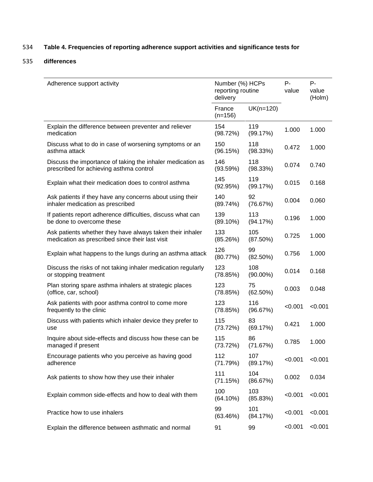# 534 **Table 4. Frequencies of reporting adherence support activities and significance tests for**

# 535 **differences**

| Adherence support activity                                                                                   | Number (%) HCPs<br>reporting routine<br>delivery |                    | $P -$<br>value | $P -$<br>value<br>(Holm) |
|--------------------------------------------------------------------------------------------------------------|--------------------------------------------------|--------------------|----------------|--------------------------|
|                                                                                                              | France<br>$(n=156)$                              | $UK(n=120)$        |                |                          |
| Explain the difference between preventer and reliever<br>medication                                          | 154<br>(98.72%)                                  | 119<br>(99.17%)    | 1.000          | 1.000                    |
| Discuss what to do in case of worsening symptoms or an<br>asthma attack                                      | 150<br>(96.15%)                                  | 118<br>(98.33%)    | 0.472          | 1.000                    |
| Discuss the importance of taking the inhaler medication as<br>prescribed for achieving asthma control        | 146<br>(93.59%)                                  | 118<br>(98.33%)    | 0.074          | 0.740                    |
| Explain what their medication does to control asthma                                                         | 145<br>(92.95%)                                  | 119<br>(99.17%)    | 0.015          | 0.168                    |
| Ask patients if they have any concerns about using their<br>inhaler medication as prescribed                 | 140<br>(89.74%)                                  | 92<br>(76.67%)     | 0.004          | 0.060                    |
| If patients report adherence difficulties, discuss what can<br>be done to overcome these                     | 139<br>(89.10%)                                  | 113<br>(94.17%)    | 0.196          | 1.000                    |
| Ask patients whether they have always taken their inhaler<br>medication as prescribed since their last visit | 133<br>(85.26%)                                  | 105<br>(87.50%)    | 0.725          | 1.000                    |
| Explain what happens to the lungs during an asthma attack                                                    | 126<br>(80.77%)                                  | 99<br>$(82.50\%)$  | 0.756          | 1.000                    |
| Discuss the risks of not taking inhaler medication regularly<br>or stopping treatment                        | 123<br>(78.85%)                                  | 108<br>$(90.00\%)$ | 0.014          | 0.168                    |
| Plan storing spare asthma inhalers at strategic places<br>(office, car, school)                              | 123<br>(78.85%)                                  | 75<br>$(62.50\%)$  | 0.003          | 0.048                    |
| Ask patients with poor asthma control to come more<br>frequently to the clinic                               | 123<br>(78.85%)                                  | 116<br>(96.67%)    | < 0.001        | < 0.001                  |
| Discuss with patients which inhaler device they prefer to<br>use                                             | 115<br>(73.72%)                                  | 83<br>(69.17%)     | 0.421          | 1.000                    |
| Inquire about side-effects and discuss how these can be<br>managed if present                                | 115<br>(73.72%)                                  | 86<br>(71.67%)     | 0.785          | 1.000                    |
| Encourage patients who you perceive as having good<br>adherence                                              | 112<br>(71.79%)                                  | 107<br>(89.17%)    | < 0.001        | < 0.001                  |
| Ask patients to show how they use their inhaler                                                              | 111<br>(71.15%)                                  | 104<br>(86.67%)    | 0.002          | 0.034                    |
| Explain common side-effects and how to deal with them                                                        | 100<br>(64.10%)                                  | 103<br>(85.83%)    | < 0.001        | < 0.001                  |
| Practice how to use inhalers                                                                                 | 99<br>(63.46%)                                   | 101<br>(84.17%)    | < 0.001        | < 0.001                  |
| Explain the difference between asthmatic and normal                                                          | 91                                               | 99                 | < 0.001        | < 0.001                  |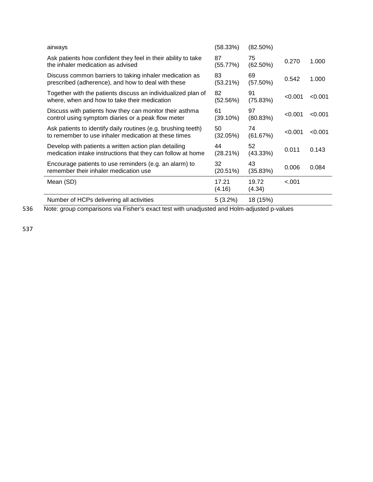| airways                                                                                                               | (58.33%)          | $(82.50\%)$       |         |         |
|-----------------------------------------------------------------------------------------------------------------------|-------------------|-------------------|---------|---------|
| Ask patients how confident they feel in their ability to take<br>the inhaler medication as advised                    | 87<br>(55.77%)    | 75<br>$(62.50\%)$ | 0.270   | 1.000   |
| Discuss common barriers to taking inhaler medication as<br>prescribed (adherence), and how to deal with these         | 83<br>$(53.21\%)$ | 69<br>(57.50%)    | 0.542   | 1.000   |
| Together with the patients discuss an individualized plan of<br>where, when and how to take their medication          | 82<br>(52.56%)    | 91<br>(75.83%)    | < 0.001 | < 0.001 |
| Discuss with patients how they can monitor their asthma<br>control using symptom diaries or a peak flow meter         | 61<br>(39.10%)    | 97<br>(80.83%)    | < 0.001 | < 0.001 |
| Ask patients to identify daily routines (e.g. brushing teeth)<br>to remember to use inhaler medication at these times | 50<br>(32.05%)    | 74<br>(61.67%)    | < 0.001 | < 0.001 |
| Develop with patients a written action plan detailing<br>medication intake instructions that they can follow at home  | 44<br>(28.21%)    | 52<br>(43.33%)    | 0.011   | 0.143   |
| Encourage patients to use reminders (e.g. an alarm) to<br>remember their inhaler medication use                       | 32<br>(20.51%)    | 43<br>(35.83%)    | 0.006   | 0.084   |
| Mean (SD)                                                                                                             | 17.21<br>(4.16)   | 19.72<br>(4.34)   | < .001  |         |
| Number of HCPs delivering all activities                                                                              | $5(3.2\%)$        | 18 (15%)          |         |         |

536 Note: group comparisons via Fisher's exact test with unadjusted and Holm-adjusted p-values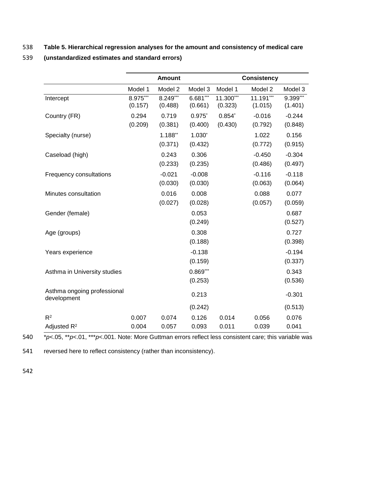# 538 **Table 5. Hierarchical regression analyses for the amount and consistency of medical care**

|                                            |                     | <b>Amount</b>        |                       |                        | <b>Consistency</b>   |                       |
|--------------------------------------------|---------------------|----------------------|-----------------------|------------------------|----------------------|-----------------------|
|                                            | Model 1             | Model 2              | Model 3               | Model 1                | Model 2              | Model 3               |
| Intercept                                  | 8.975***<br>(0.157) | 8.249***<br>(0.488)  | $6.681***$<br>(0.661) | $11.300***$<br>(0.323) | 11.191***<br>(1.015) | $9.399***$<br>(1.401) |
| Country (FR)                               | 0.294<br>(0.209)    | 0.719<br>(0.381)     | $0.975$ *<br>(0.400)  | $0.854*$<br>(0.430)    | $-0.016$<br>(0.792)  | $-0.244$<br>(0.848)   |
| Specialty (nurse)                          |                     | $1.188**$<br>(0.371) | $1.030*$<br>(0.432)   |                        | 1.022<br>(0.772)     | 0.156<br>(0.915)      |
| Caseload (high)                            |                     | 0.243<br>(0.233)     | 0.306<br>(0.235)      |                        | $-0.450$<br>(0.486)  | $-0.304$<br>(0.497)   |
| Frequency consultations                    |                     | $-0.021$<br>(0.030)  | $-0.008$<br>(0.030)   |                        | $-0.116$<br>(0.063)  | $-0.118$<br>(0.064)   |
| Minutes consultation                       |                     | 0.016<br>(0.027)     | 0.008<br>(0.028)      |                        | 0.088<br>(0.057)     | 0.077<br>(0.059)      |
| Gender (female)                            |                     |                      | 0.053<br>(0.249)      |                        |                      | 0.687<br>(0.527)      |
| Age (groups)                               |                     |                      | 0.308<br>(0.188)      |                        |                      | 0.727<br>(0.398)      |
| Years experience                           |                     |                      | $-0.138$<br>(0.159)   |                        |                      | $-0.194$<br>(0.337)   |
| Asthma in University studies               |                     |                      | $0.869***$<br>(0.253) |                        |                      | 0.343<br>(0.536)      |
| Asthma ongoing professional<br>development |                     |                      | 0.213                 |                        |                      | $-0.301$              |
|                                            |                     |                      | (0.242)               |                        |                      | (0.513)               |
| $R^2$<br>Adjusted R <sup>2</sup>           | 0.007<br>0.004      | 0.074<br>0.057       | 0.126<br>0.093        | 0.014<br>0.011         | 0.056<br>0.039       | 0.076<br>0.041        |

# 539 **(unstandardized estimates and standard errors)**

540 \**p*<.05, \*\**p*<.01, \*\*\**p*<.001. Note: More Guttman errors reflect less consistent care; this variable was

541 reversed here to reflect consistency (rather than inconsistency).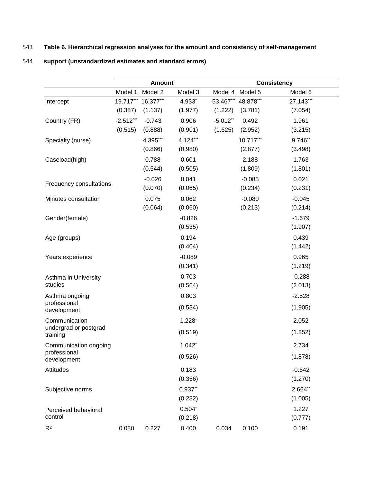# 543 **Table 6. Hierarchical regression analyses for the amount and consistency of self-management**

# 544 **support (unstandardized estimates and standard errors)**

|                                   | <b>Amount</b> |           | <b>Consistency</b>   |             |           |           |
|-----------------------------------|---------------|-----------|----------------------|-------------|-----------|-----------|
|                                   | Model 1       | Model 2   | Model 3              | Model 4     | Model 5   | Model 6   |
| Intercept                         | 19.717***     | 16.377*** | 4.933*               | 53.467***   | 48.878*** | 27.143*** |
|                                   | (0.387)       | (1.137)   | (1.977)              | (1.222)     | (3.781)   | (7.054)   |
| Country (FR)                      | $-2.512***$   | $-0.743$  | 0.906                | $-5.012$ ** | 0.492     | 1.961     |
|                                   | (0.515)       | (0.888)   | (0.901)              | (1.625)     | (2.952)   | (3.215)   |
| Specialty (nurse)                 |               | 4.395***  | 4.124***             |             | 10.717*** | 9.746**   |
|                                   |               | (0.866)   | (0.980)              |             | (2.877)   | (3.498)   |
| Caseload(high)                    |               | 0.788     | 0.601                |             | 2.188     | 1.763     |
|                                   |               | (0.544)   | (0.505)              |             | (1.809)   | (1.801)   |
|                                   |               | $-0.026$  | 0.041                |             | $-0.085$  | 0.021     |
| Frequency consultations           |               | (0.070)   | (0.065)              |             | (0.234)   | (0.231)   |
| Minutes consultation              |               | 0.075     | 0.062                |             | $-0.080$  | $-0.045$  |
|                                   |               | (0.064)   | (0.060)              |             | (0.213)   | (0.214)   |
| Gender(female)                    |               |           | $-0.826$             |             |           | $-1.679$  |
|                                   |               |           | (0.535)              |             |           | (1.907)   |
| Age (groups)                      |               |           | 0.194                |             |           | 0.439     |
|                                   |               |           | (0.404)              |             |           | (1.442)   |
| Years experience                  |               |           | $-0.089$             |             |           | 0.965     |
|                                   |               |           | (0.341)              |             |           | (1.219)   |
| Asthma in University              |               |           | 0.703                |             |           | $-0.288$  |
| studies                           |               |           | (0.564)              |             |           | (2.013)   |
| Asthma ongoing                    |               |           | 0.803                |             |           | $-2.528$  |
| professional<br>development       |               |           | (0.534)              |             |           | (1.905)   |
| Communication                     |               |           | $1.228$ <sup>*</sup> |             |           | 2.052     |
| undergrad or postgrad<br>training |               |           | (0.519)              |             |           | (1.852)   |
| Communication ongoing             |               |           | $1.042$ *            |             |           | 2.734     |
| professional<br>development       |               |           | (0.526)              |             |           | (1.878)   |
| <b>Attitudes</b>                  |               |           | 0.183                |             |           | $-0.642$  |
|                                   |               |           | (0.356)              |             |           | (1.270)   |
| Subjective norms                  |               |           | $0.937**$            |             |           | 2.664**   |
|                                   |               |           | (0.282)              |             |           | (1.005)   |
| Perceived behavioral              |               |           | $0.504*$             |             |           | 1.227     |
| control                           |               |           | (0.218)              |             |           | (0.777)   |
| $R^2$                             | 0.080         | 0.227     | 0.400                | 0.034       | 0.100     | 0.191     |